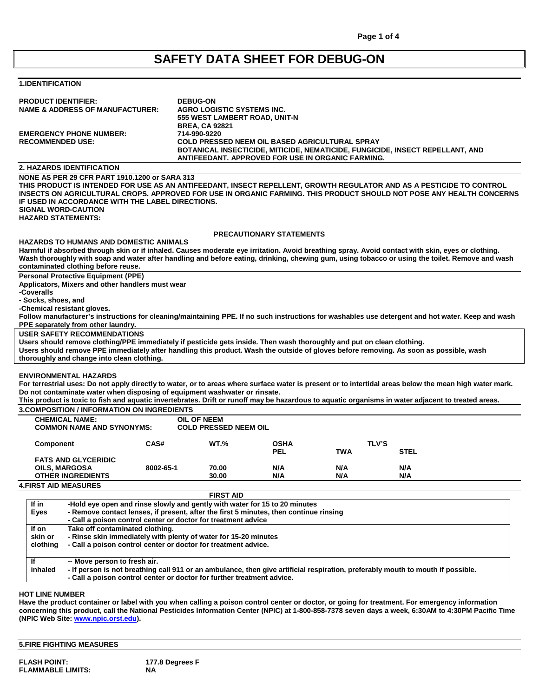# **SAFETY DATA SHEET FOR DEBUG-ON**

## **1.IDENTIFICATION**

|                                                                            | <b>DEBUG-ON</b><br><b>PRODUCT IDENTIFIER:</b><br><b>NAME &amp; ADDRESS OF MANUFACTURER:</b><br>AGRO LOGISTIC SYSTEMS INC.<br>555 WEST LAMBERT ROAD, UNIT-N          |           |                                       |                                                                                                            |            |              |                                                                                                                                                                                                                                                                                                               |
|----------------------------------------------------------------------------|---------------------------------------------------------------------------------------------------------------------------------------------------------------------|-----------|---------------------------------------|------------------------------------------------------------------------------------------------------------|------------|--------------|---------------------------------------------------------------------------------------------------------------------------------------------------------------------------------------------------------------------------------------------------------------------------------------------------------------|
| <b>RECOMMENDED USE:</b>                                                    | <b>EMERGENCY PHONE NUMBER:</b>                                                                                                                                      |           | <b>BREA, CA 92821</b><br>714-990-9220 | <b>COLD PRESSED NEEM OIL BASED AGRICULTURAL SPRAY</b><br>ANTIFEEDANT. APPROVED FOR USE IN ORGANIC FARMING. |            |              | BOTANICAL INSECTICIDE, MITICIDE, NEMATICIDE, FUNGICIDE, INSECT REPELLANT, AND                                                                                                                                                                                                                                 |
|                                                                            | <b>2. HAZARDS IDENTIFICATION</b>                                                                                                                                    |           |                                       |                                                                                                            |            |              |                                                                                                                                                                                                                                                                                                               |
|                                                                            | NONE AS PER 29 CFR PART 1910.1200 or SARA 313<br>IF USED IN ACCORDANCE WITH THE LABEL DIRECTIONS.<br><b>SIGNAL WORD-CAUTION</b><br><b>HAZARD STATEMENTS:</b>        |           |                                       |                                                                                                            |            |              | THIS PRODUCT IS INTENDED FOR USE AS AN ANTIFEEDANT, INSECT REPELLENT, GROWTH REGULATOR AND AS A PESTICIDE TO CONTROL<br>INSECTS ON AGRICULTURAL CROPS. APPROVED FOR USE IN ORGANIC FARMING. THIS PRODUCT SHOULD NOT POSE ANY HEALTH CONCERNS                                                                  |
|                                                                            |                                                                                                                                                                     |           |                                       | <b>PRECAUTIONARY STATEMENTS</b>                                                                            |            |              |                                                                                                                                                                                                                                                                                                               |
|                                                                            | <b>HAZARDS TO HUMANS AND DOMESTIC ANIMALS</b><br>contaminated clothing before reuse.                                                                                |           |                                       |                                                                                                            |            |              | Harmful if absorbed through skin or if inhaled. Causes moderate eye irritation. Avoid breathing spray. Avoid contact with skin, eyes or clothing.<br>Wash thoroughly with soap and water after handling and before eating, drinking, chewing gum, using tobacco or using the toilet. Remove and wash          |
| -Coveralls                                                                 | <b>Personal Protective Equipment (PPE)</b><br>Applicators, Mixers and other handlers must wear                                                                      |           |                                       |                                                                                                            |            |              |                                                                                                                                                                                                                                                                                                               |
| - Socks, shoes, and                                                        |                                                                                                                                                                     |           |                                       |                                                                                                            |            |              |                                                                                                                                                                                                                                                                                                               |
|                                                                            | -Chemical resistant gloves.                                                                                                                                         |           |                                       |                                                                                                            |            |              |                                                                                                                                                                                                                                                                                                               |
|                                                                            |                                                                                                                                                                     |           |                                       |                                                                                                            |            |              | Follow manufacturer's instructions for cleaning/maintaining PPE. If no such instructions for washables use detergent and hot water. Keep and wash                                                                                                                                                             |
|                                                                            | PPE separately from other laundry.<br><b>USER SAFETY RECOMMENDATIONS</b>                                                                                            |           |                                       |                                                                                                            |            |              |                                                                                                                                                                                                                                                                                                               |
|                                                                            | Users should remove clothing/PPE immediately if pesticide gets inside. Then wash thoroughly and put on clean clothing.                                              |           |                                       |                                                                                                            |            |              |                                                                                                                                                                                                                                                                                                               |
|                                                                            | Users should remove PPE immediately after handling this product. Wash the outside of gloves before removing. As soon as possible, wash                              |           |                                       |                                                                                                            |            |              |                                                                                                                                                                                                                                                                                                               |
|                                                                            | thoroughly and change into clean clothing.                                                                                                                          |           |                                       |                                                                                                            |            |              |                                                                                                                                                                                                                                                                                                               |
|                                                                            | <b>ENVIRONMENTAL HAZARDS</b><br>Do not contaminate water when disposing of equipment washwater or rinsate.                                                          |           |                                       |                                                                                                            |            |              | For terrestrial uses: Do not apply directly to water, or to areas where surface water is present or to intertidal areas below the mean high water mark.<br>This product is toxic to fish and aquatic invertebrates. Drift or runoff may be hazardous to aquatic organisms in water adjacent to treated areas. |
|                                                                            | <b>3.COMPOSITION / INFORMATION ON INGREDIENTS</b>                                                                                                                   |           |                                       |                                                                                                            |            |              |                                                                                                                                                                                                                                                                                                               |
|                                                                            | <b>CHEMICAL NAME:</b>                                                                                                                                               |           | <b>OIL OF NEEM</b>                    |                                                                                                            |            |              |                                                                                                                                                                                                                                                                                                               |
|                                                                            | <b>COMMON NAME AND SYNONYMS:</b>                                                                                                                                    |           | <b>COLD PRESSED NEEM OIL</b>          |                                                                                                            |            |              |                                                                                                                                                                                                                                                                                                               |
| Component                                                                  |                                                                                                                                                                     | CAS#      | <b>WT.%</b>                           | <b>OSHA</b>                                                                                                |            | <b>TLV'S</b> |                                                                                                                                                                                                                                                                                                               |
|                                                                            |                                                                                                                                                                     |           |                                       | <b>PEL</b>                                                                                                 | TWA        | <b>STEL</b>  |                                                                                                                                                                                                                                                                                                               |
|                                                                            | <b>FATS AND GLYCERIDIC</b>                                                                                                                                          |           |                                       |                                                                                                            |            |              |                                                                                                                                                                                                                                                                                                               |
|                                                                            | <b>OILS, MARGOSA</b><br><b>OTHER INGREDIENTS</b>                                                                                                                    | 8002-65-1 | 70.00<br>30.00                        | N/A<br>N/A                                                                                                 | N/A<br>N/A | N/A<br>N/A   |                                                                                                                                                                                                                                                                                                               |
|                                                                            | <b>4.FIRST AID MEASURES</b>                                                                                                                                         |           |                                       |                                                                                                            |            |              |                                                                                                                                                                                                                                                                                                               |
|                                                                            |                                                                                                                                                                     |           | <b>FIRST AID</b>                      |                                                                                                            |            |              |                                                                                                                                                                                                                                                                                                               |
| If in                                                                      |                                                                                                                                                                     |           |                                       |                                                                                                            |            |              |                                                                                                                                                                                                                                                                                                               |
| <b>Eyes</b>                                                                | -Hold eye open and rinse slowly and gently with water for 15 to 20 minutes<br>- Remove contact lenses, if present, after the first 5 minutes, then continue rinsing |           |                                       |                                                                                                            |            |              |                                                                                                                                                                                                                                                                                                               |
|                                                                            | - Call a poison control center or doctor for treatment advice                                                                                                       |           |                                       |                                                                                                            |            |              |                                                                                                                                                                                                                                                                                                               |
| If on                                                                      | Take off contaminated clothing.                                                                                                                                     |           |                                       |                                                                                                            |            |              |                                                                                                                                                                                                                                                                                                               |
| skin or                                                                    | - Rinse skin immediately with plenty of water for 15-20 minutes                                                                                                     |           |                                       |                                                                                                            |            |              |                                                                                                                                                                                                                                                                                                               |
| clothing<br>- Call a poison control center or doctor for treatment advice. |                                                                                                                                                                     |           |                                       |                                                                                                            |            |              |                                                                                                                                                                                                                                                                                                               |

**If inhaled -- Move person to fresh air. - If person is not breathing call 911 or an ambulance, then give artificial respiration, preferably mouth to mouth if possible.**

**- Call a poison control center or doctor for further treatment advice.**

## **HOT LINE NUMBER**

**Have the product container or label with you when calling a poison control center or doctor, or going for treatment. For emergency information concerning this product, call the National Pesticides Information Center (NPIC) at 1-800-858-7378 seven days a week, 6:30AM to 4:30PM Pacific Time (NPIC Web Site[: www.npic.orst.edu\)](http://www.npic.orst.edu/).**

**5.FIRE FIGHTING MEASURES**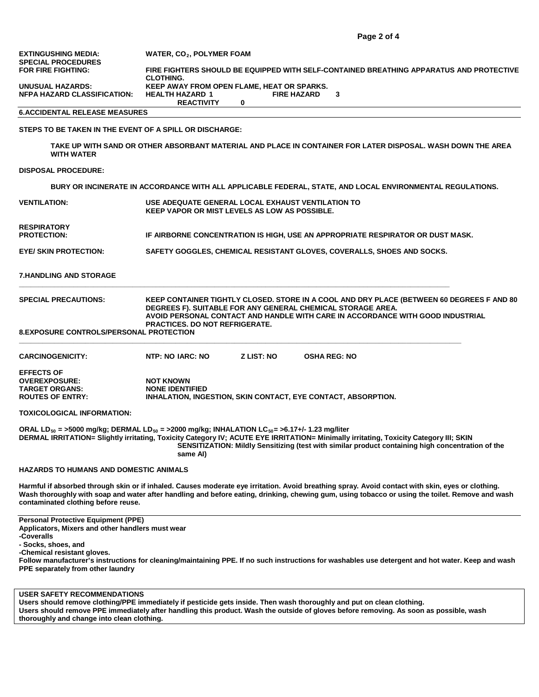# **6.ACCIDENTAL RELEASE MEASURES**

## **STEPS TO BE TAKEN IN THE EVENT OF A SPILL OR DISCHARGE:**

**TAKE UP WITH SAND OR OTHER ABSORBANT MATERIAL AND PLACE IN CONTAINER FOR LATER DISPOSAL. WASH DOWN THE AREA WITH WATER**

**DISPOSAL PROCEDURE:**

**BURY OR INCINERATE IN ACCORDANCE WITH ALL APPLICABLE FEDERAL, STATE, AND LOCAL ENVIRONMENTAL REGULATIONS.**

| <b>VENTILATION:</b>               | USE ADEQUATE GENERAL LOCAL EXHAUST VENTILATION TO<br><b>KEEP VAPOR OR MIST LEVELS AS LOW AS POSSIBLE.</b> |
|-----------------------------------|-----------------------------------------------------------------------------------------------------------|
| RESPIRATORY<br><b>PROTECTION:</b> | IF AIRBORNE CONCENTRATION IS HIGH, USE AN APPROPRIATE RESPIRATOR OR DUST MASK.                            |
| EYE/ SKIN PROTECTION:             | SAFETY GOGGLES, CHEMICAL RESISTANT GLOVES, COVERALLS, SHOES AND SOCKS.                                    |
|                                   |                                                                                                           |

**7.HANDLING AND STORAGE**

| <b>SPECIAL PRECAUTIONS:</b>             | KEEP CONTAINER TIGHTLY CLOSED. STORE IN A COOL AND DRY PLACE (BETWEEN 60 DEGREES F AND 80 |
|-----------------------------------------|-------------------------------------------------------------------------------------------|
|                                         | DEGREES F). SUITABLE FOR ANY GENERAL CHEMICAL STORAGE AREA.                               |
|                                         | AVOID PERSONAL CONTACT AND HANDLE WITH CARE IN ACCORDANCE WITH GOOD INDUSTRIAL            |
|                                         | <b>PRACTICES. DO NOT REFRIGERATE.</b>                                                     |
| A EVBOOUDE OOUTROLOGEROOMIAL RRATEOTION |                                                                                           |

**8.EXPOSURE CONTROLS/PERSONAL PROTECTION**

| <b>CARCINOGENICITY:</b> | NTP: NO IARC: NO       | <b>Z LIST: NO</b> | <b>OSHA REG: NO</b>                                           |  |
|-------------------------|------------------------|-------------------|---------------------------------------------------------------|--|
| <b>EFFECTS OF</b>       |                        |                   |                                                               |  |
| <b>OVEREXPOSURE:</b>    | <b>NOT KNOWN</b>       |                   |                                                               |  |
| <b>TARGET ORGANS:</b>   | <b>NONE IDENTIFIED</b> |                   |                                                               |  |
| <b>ROUTES OF ENTRY:</b> |                        |                   | INHALATION, INGESTION, SKIN CONTACT, EYE CONTACT, ABSORPTION, |  |

**\_\_\_\_\_\_\_\_\_\_\_\_\_\_\_\_\_\_\_\_\_\_\_\_\_\_\_\_\_\_\_\_\_\_\_\_\_\_\_\_\_\_\_\_\_\_\_\_\_\_\_\_\_\_\_\_\_\_\_\_\_\_\_\_\_\_\_\_\_\_\_\_\_\_\_\_\_\_\_\_\_\_\_\_\_\_\_\_\_\_\_\_\_\_\_\_\_\_\_\_\_\_\_\_\_\_\_\_\_\_**

**\_\_\_\_\_\_\_\_\_\_\_\_\_\_\_\_\_\_\_\_\_\_\_\_\_\_\_\_\_\_\_\_\_\_\_\_\_\_\_\_\_\_\_\_\_\_\_\_\_\_\_\_\_\_\_\_\_\_\_\_\_\_\_\_\_\_\_\_\_\_\_\_\_\_\_\_\_\_\_\_\_\_\_\_\_\_\_\_\_\_\_\_\_\_\_\_\_\_\_\_\_\_\_\_\_\_\_\_\_\_\_\_\_**

**TOXICOLOGICAL INFORMATION:**

**ORAL LD50 = >5000 mg/kg; DERMAL LD50 = >2000 mg/kg; INHALATION LC50= >6.17+/- 1.23 mg/liter DERMAL IRRITATION= Slightly irritating, Toxicity Category IV; ACUTE EYE IRRITATION= Minimally irritating, Toxicity Category III; SKIN** 

**SENSITIZATION: Mildly Sensitizing (test with similar product containing high concentration of the same AI)**

## **HAZARDS TO HUMANS AND DOMESTIC ANIMALS**

**Harmful if absorbed through skin or if inhaled. Causes moderate eye irritation. Avoid breathing spray. Avoid contact with skin, eyes or clothing. Wash thoroughly with soap and water after handling and before eating, drinking, chewing gum, using tobacco or using the toilet. Remove and wash contaminated clothing before reuse.**

**Personal Protective Equipment (PPE) Applicators, Mixers and other handlers must wear -Coveralls - Socks, shoes, and -Chemical resistant gloves. Follow manufacturer's instructions for cleaning/maintaining PPE. If no such instructions for washables use detergent and hot water. Keep and wash PPE separately from other laundry**

**USER SAFETY RECOMMENDATIONS Users should remove clothing/PPE immediately if pesticide gets inside. Then wash thoroughly and put on clean clothing. Users should remove PPE immediately after handling this product. Wash the outside of gloves before removing. As soon as possible, wash thoroughly and change into clean clothing.**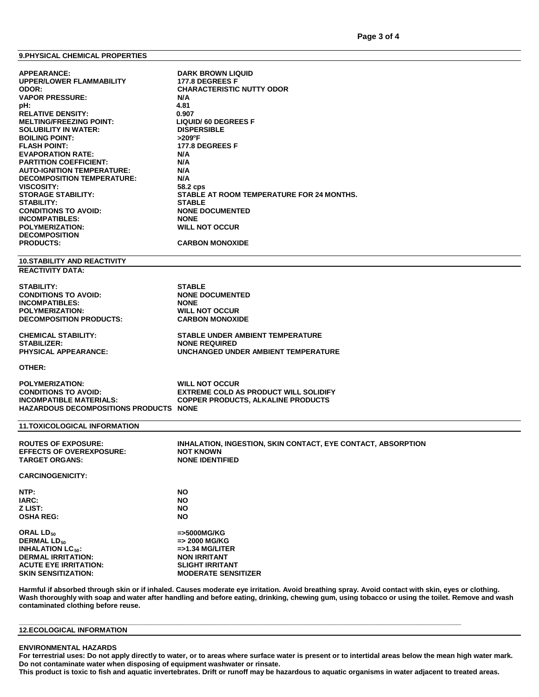# **9.PHYSICAL CHEMICAL PROPERTIES**

| <b>APPEARANCE:</b><br><b>UPPER/LOWER FLAMMABILITY</b><br>ODOR:<br><b>VAPOR PRESSURE:</b><br>pH:<br><b>RELATIVE DENSITY:</b><br><b>MELTING/FREEZING POINT:</b><br><b>SOLUBILITY IN WATER:</b><br><b>BOILING POINT:</b><br><b>FLASH POINT:</b><br><b>EVAPORATION RATE:</b><br><b>PARTITION COEFFICIENT:</b><br><b>AUTO-IGNITION TEMPERATURE:</b><br><b>DECOMPOSITION TEMPERATURE:</b><br><b>VISCOSITY:</b><br><b>STORAGE STABILITY:</b><br><b>STABILITY:</b><br><b>CONDITIONS TO AVOID:</b><br><b>INCOMPATIBLES:</b><br><b>POLYMERIZATION:</b><br><b>DECOMPOSITION</b><br><b>PRODUCTS:</b> | <b>DARK BROWN LIQUID</b><br><b>177.8 DEGREES F</b><br><b>CHARACTERISTIC NUTTY ODOR</b><br>N/A<br>4.81<br>0.907<br><b>LIQUID/ 60 DEGREES F</b><br><b>DISPERSIBLE</b><br>$>$ 209°F<br><b>177.8 DEGREES F</b><br>N/A<br>N/A<br>N/A<br>N/A<br>58.2 cps<br>STABLE AT ROOM TEMPERATURE FOR 24 MONTHS.<br><b>STABLE</b><br><b>NONE DOCUMENTED</b><br><b>NONE</b><br><b>WILL NOT OCCUR</b><br><b>CARBON MONOXIDE</b> |
|------------------------------------------------------------------------------------------------------------------------------------------------------------------------------------------------------------------------------------------------------------------------------------------------------------------------------------------------------------------------------------------------------------------------------------------------------------------------------------------------------------------------------------------------------------------------------------------|--------------------------------------------------------------------------------------------------------------------------------------------------------------------------------------------------------------------------------------------------------------------------------------------------------------------------------------------------------------------------------------------------------------|
|                                                                                                                                                                                                                                                                                                                                                                                                                                                                                                                                                                                          |                                                                                                                                                                                                                                                                                                                                                                                                              |
| <b>10.STABILITY AND REACTIVITY</b><br><b>REACTIVITY DATA:</b>                                                                                                                                                                                                                                                                                                                                                                                                                                                                                                                            |                                                                                                                                                                                                                                                                                                                                                                                                              |
| STABILITY:<br><b>CONDITIONS TO AVOID:</b><br><b>INCOMPATIBLES:</b><br><b>POLYMERIZATION:</b><br><b>DECOMPOSITION PRODUCTS:</b>                                                                                                                                                                                                                                                                                                                                                                                                                                                           | <b>STABLE</b><br><b>NONE DOCUMENTED</b><br><b>NONE</b><br><b>WILL NOT OCCUR</b><br><b>CARBON MONOXIDE</b>                                                                                                                                                                                                                                                                                                    |
| <b>CHEMICAL STABILITY:</b><br><b>STABILIZER:</b><br><b>PHYSICAL APPEARANCE:</b>                                                                                                                                                                                                                                                                                                                                                                                                                                                                                                          | <b>STABLE UNDER AMBIENT TEMPERATURE</b><br><b>NONE REQUIRED</b><br>UNCHANGED UNDER AMBIENT TEMPERATURE                                                                                                                                                                                                                                                                                                       |
| OTHER:                                                                                                                                                                                                                                                                                                                                                                                                                                                                                                                                                                                   |                                                                                                                                                                                                                                                                                                                                                                                                              |
| <b>POLYMERIZATION:</b><br><b>CONDITIONS TO AVOID:</b><br><b>INCOMPATIBLE MATERIALS:</b><br><b>HAZARDOUS DECOMPOSITIONS PRODUCTS NONE</b>                                                                                                                                                                                                                                                                                                                                                                                                                                                 | <b>WILL NOT OCCUR</b><br><b>EXTREME COLD AS PRODUCT WILL SOLIDIFY</b><br><b>COPPER PRODUCTS, ALKALINE PRODUCTS</b>                                                                                                                                                                                                                                                                                           |
| <b>11.TOXICOLOGICAL INFORMATION</b>                                                                                                                                                                                                                                                                                                                                                                                                                                                                                                                                                      |                                                                                                                                                                                                                                                                                                                                                                                                              |
| <b>ROUTES OF EXPOSURE:</b><br><b>EFFECTS OF OVEREXPOSURE:</b><br><b>TARGET ORGANS:</b>                                                                                                                                                                                                                                                                                                                                                                                                                                                                                                   | INHALATION, INGESTION, SKIN CONTACT, EYE CONTACT, ABSORPTION<br><b>NOT KNOWN</b><br><b>NONE IDENTIFIED</b>                                                                                                                                                                                                                                                                                                   |
| <b>CARCINOGENICITY:</b>                                                                                                                                                                                                                                                                                                                                                                                                                                                                                                                                                                  |                                                                                                                                                                                                                                                                                                                                                                                                              |
| NTP:<br>IARC:<br>Z LIST:<br><b>OSHA REG:</b>                                                                                                                                                                                                                                                                                                                                                                                                                                                                                                                                             | <b>NO</b><br><b>NO</b><br><b>NO</b><br><b>NO</b>                                                                                                                                                                                                                                                                                                                                                             |
| ORAL LD <sub>50</sub><br><b>DERMAL LD<sub>50</sub></b><br><b>INHALATION LC<sub>50</sub>:</b><br><b>DERMAL IRRITATION:</b><br><b>ACUTE EYE IRRITATION:</b><br><b>SKIN SENSITIZATION:</b>                                                                                                                                                                                                                                                                                                                                                                                                  | =>5000MG/KG<br>=> 2000 MG/KG<br>$=$ >1.34 MG/LITER<br><b>NON IRRITANT</b><br><b>SLIGHT IRRITANT</b><br><b>MODERATE SENSITIZER</b>                                                                                                                                                                                                                                                                            |

**Harmful if absorbed through skin or if inhaled. Causes moderate eye irritation. Avoid breathing spray. Avoid contact with skin, eyes or clothing. Wash thoroughly with soap and water after handling and before eating, drinking, chewing gum, using tobacco or using the toilet. Remove and wash contaminated clothing before reuse.**

## **12.ECOLOGICAL INFORMATION**

#### **ENVIRONMENTAL HAZARDS**

**For terrestrial uses: Do not apply directly to water, or to areas where surface water is present or to intertidal areas below the mean high water mark. Do not contaminate water when disposing of equipment washwater or rinsate.**

**This product is toxic to fish and aquatic invertebrates. Drift or runoff may be hazardous to aquatic organisms in water adjacent to treated areas.**

**\_\_\_\_\_\_\_\_\_\_\_\_\_\_\_\_\_\_\_\_\_\_\_\_\_\_\_\_\_\_\_\_\_\_\_\_\_\_\_\_\_\_\_\_\_\_\_\_\_\_\_\_\_\_\_\_\_\_\_\_\_\_\_\_\_\_\_\_\_\_\_\_\_\_\_\_\_\_\_\_\_\_\_\_\_\_\_\_\_\_\_\_\_\_\_\_\_\_\_\_\_\_\_\_\_\_\_\_\_\_\_\_\_**